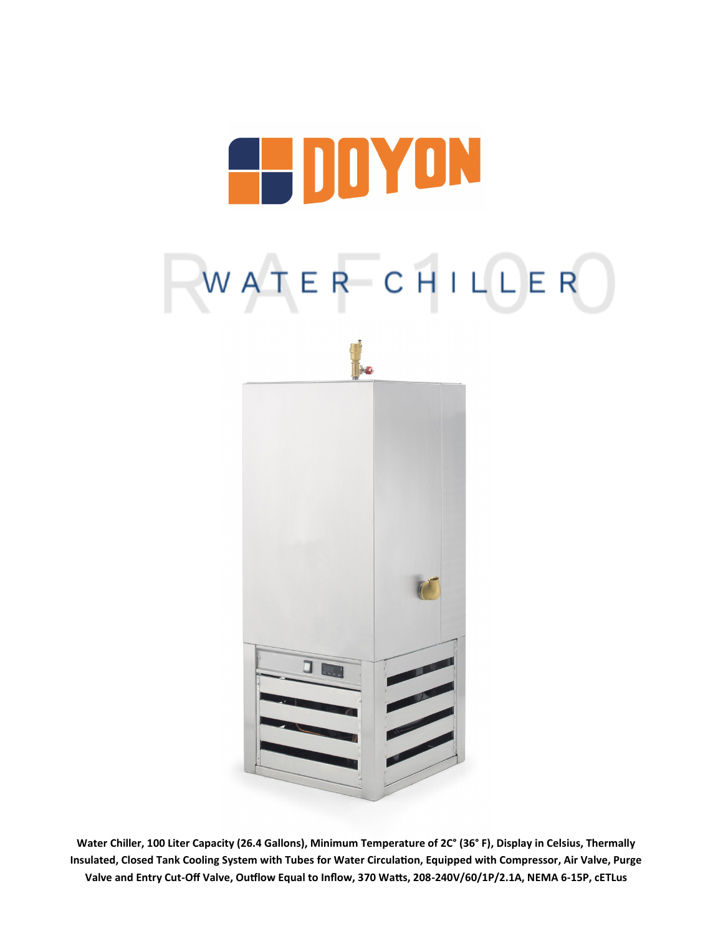





**Water Chiller, 100 Liter Capacity (26.4 Gallons), Minimum Temperature of 2C° (36° F), Display in Celsius, Thermally Insulated, Closed Tank Cooling System with Tubes for Water Circulation, Equipped with Compressor, Air Valve, Purge Valve and Entry Cut-Off Valve, Outflow Equal to Inflow, 370 Watts, 208-240V/60/1P/2.1A, NEMA 6-15P, cETLus**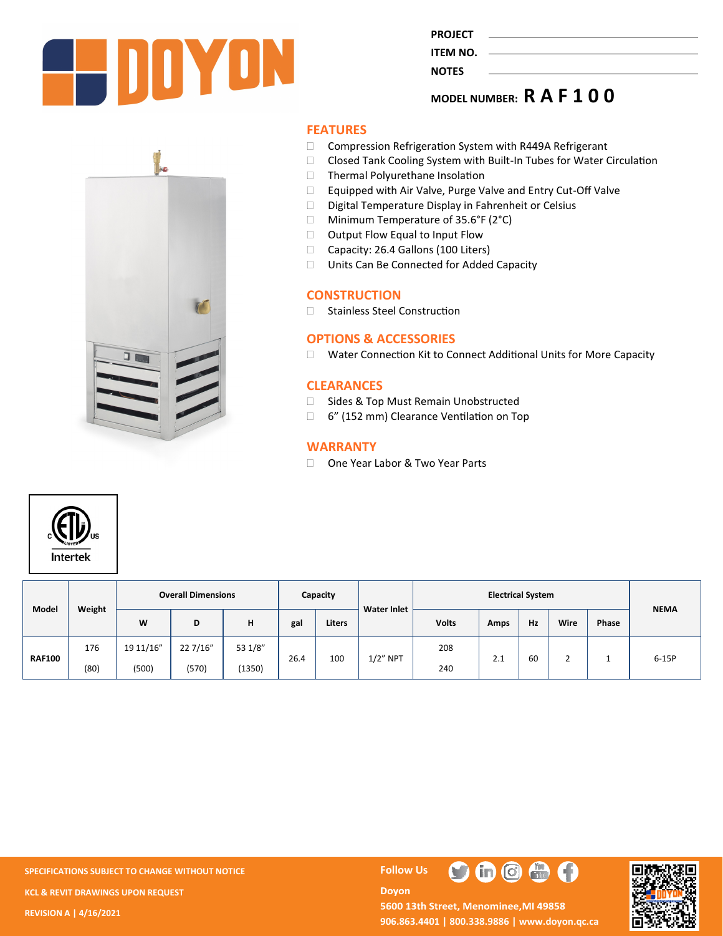

**PROJECT ITEM NO.** 

**NOTES** 

# **MODEL NUMBER: R A F 1 0 0**

# **FEATURES**

- □ Compression Refrigeration System with R449A Refrigerant
- □ Closed Tank Cooling System with Built-In Tubes for Water Circulation
- Thermal Polyurethane Insolation
- Equipped with Air Valve, Purge Valve and Entry Cut-Off Valve
- D Digital Temperature Display in Fahrenheit or Celsius
- □ Minimum Temperature of 35.6°F (2°C)
- □ Output Flow Equal to Input Flow
- Capacity: 26.4 Gallons (100 Liters)
- □ Units Can Be Connected for Added Capacity

#### **CONSTRUCTION**

□ Stainless Steel Construction

## **OPTIONS & ACCESSORIES**

□ Water Connection Kit to Connect Additional Units for More Capacity

#### **CLEARANCES**

- □ Sides & Top Must Remain Unobstructed
- □ 6" (152 mm) Clearance Ventilation on Top

#### **WARRANTY**

□ One Year Labor & Two Year Parts



| Model         | Weight | <b>Overall Dimensions</b> |          |         | Capacity |               | <b>Water Inlet</b> | <b>Electrical System</b> |      |    |      |       | <b>NEMA</b> |
|---------------|--------|---------------------------|----------|---------|----------|---------------|--------------------|--------------------------|------|----|------|-------|-------------|
|               |        | W                         | D        | н       | gal      | <b>Liters</b> |                    | <b>Volts</b>             | Amps | Hz | Wire | Phase |             |
| <b>RAF100</b> | 176    | 19 11/16"                 | 22 7/16" | 53 1/8" | 26.4     | 100           | $1/2$ " NPT        | 208                      | 2.1  | 60 |      |       | $6-15P$     |
|               | (80)   | (500)                     | (570)    | (1350)  |          |               |                    | 240                      |      |    |      |       |             |

**SPECIFICATIONS SUBJECT TO CHANGE WITHOUT NOTICE FOLLOW US KCL & REVIT DRAWINGS UPON REQUEST REVISION A | 4/16/2021**

O

 $\mathbf{G}$   $\mathbf{G}$   $\mathbf{G}$